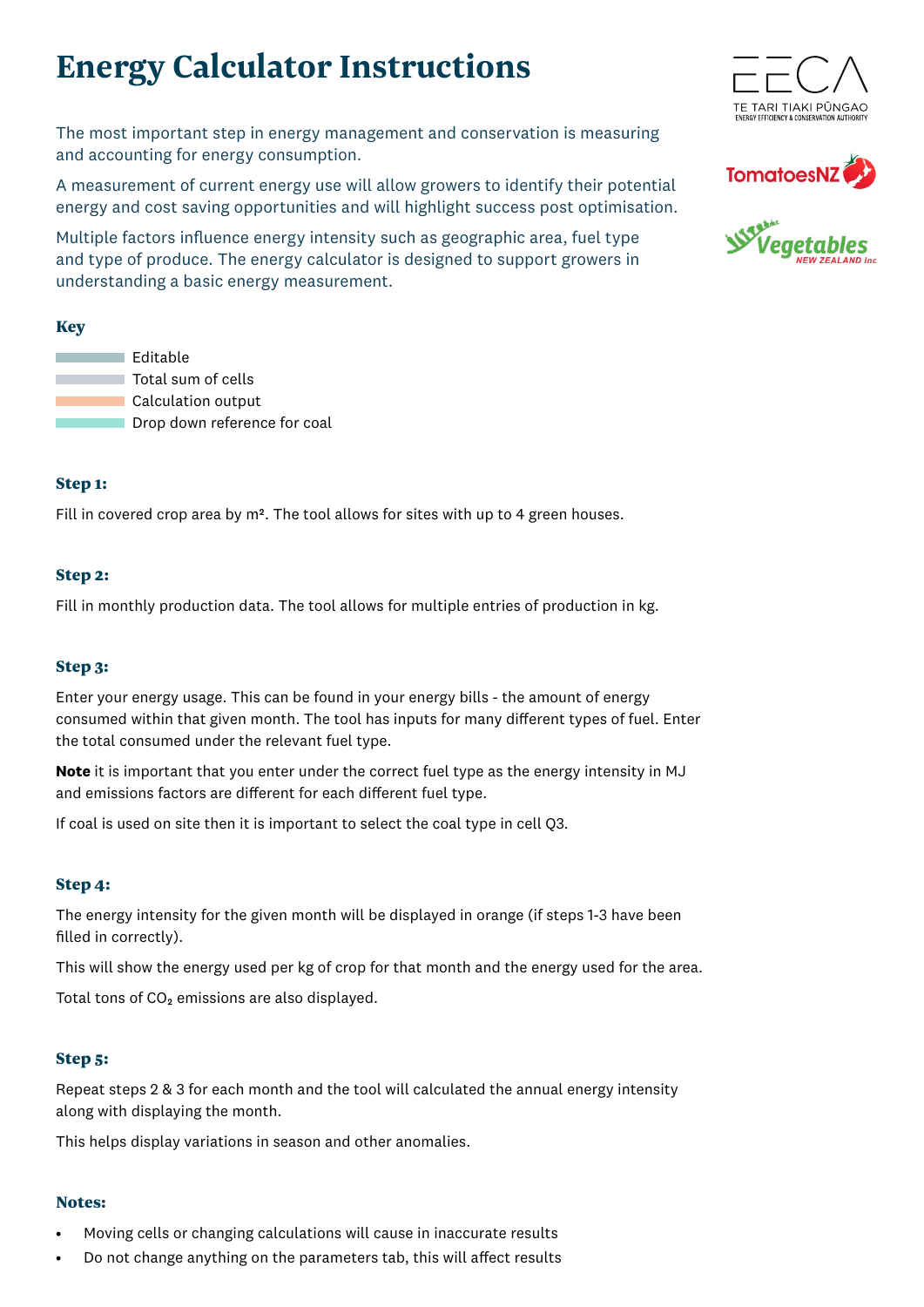# **Energy Calculator Instructions**

The most important step in energy management and conservation is measuring and accounting for energy consumption.

A measurement of current energy use will allow growers to identify their potential energy and cost saving opportunities and will highlight success post optimisation.

Multiple factors influence energy intensity such as geographic area, fuel type and type of produce. The energy calculator is designed to support growers in understanding a basic energy measurement.

## Key

**Editable Total sum of cells Calculation output** Drop down reference for coal

### Step 1:

Fill in covered crop area by m<sup>2</sup>. The tool allows for sites with up to 4 green houses.

## Step 2:

Fill in monthly production data. The tool allows for multiple entries of production in kg.

### Step 3:

Enter your energy usage. This can be found in your energy bills - the amount of energy consumed within that given month. The tool has inputs for many different types of fuel. Enter the total consumed under the relevant fuel type.

**Note** it is important that you enter under the correct fuel type as the energy intensity in MJ and emissions factors are different for each different fuel type.

If coal is used on site then it is important to select the coal type in cell Q3.

### Step 4:

The energy intensity for the given month will be displayed in orange (if steps 1-3 have been filled in correctly).

This will show the energy used per kg of crop for that month and the energy used for the area.

Total tons of  $CO<sub>2</sub>$  emissions are also displayed.

### Step 5:

Repeat steps 2 & 3 for each month and the tool will calculated the annual energy intensity along with displaying the month.

This helps display variations in season and other anomalies.

### Notes:

- Moving cells or changing calculations will cause in inaccurate results
- Do not change anything on the parameters tab, this will affect results